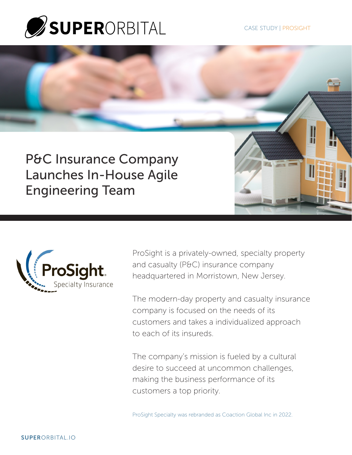

it

P&C Insurance Company Launches In-House Agile Engineering Team



ProSight is a privately-owned, specialty property and casualty (P&C) insurance company headquartered in Morristown, New Jersey.

The modern-day property and casualty insurance company is focused on the needs of its customers and takes a individualized approach to each of its insureds.

The company's mission is fueled by a cultural desire to succeed at uncommon challenges, making the business performance of its customers a top priority.

ProSight Specialty was rebranded as Coaction Global Inc in 2022.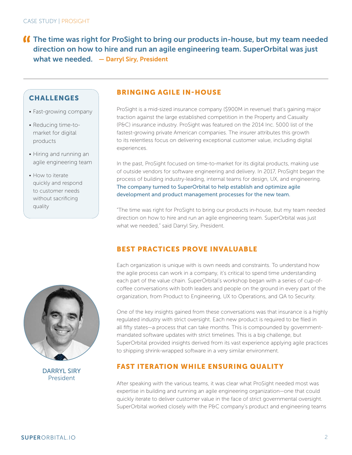The time was right for ProSight to bring our products in-house, but my team needed direction on how to hire and run an agile engineering team. SuperOrbital was just what we needed. — Darryl Siry, President

### **CHALLENGES**

- Fast-growing company
- Reducing time-tomarket for digital products
- Hiring and running an agile engineering team
- How to iterate quickly and respond to customer needs without sacrificing quality

#### BRINGING AGILE IN-HOUSE

ProSight is a mid-sized insurance company (\$900M in revenue) that's gaining major traction against the large established competition in the Property and Casualty (P&C) insurance industry. ProSight was featured on the 2014 Inc. 5000 list of the fastest-growing private American companies. The insurer attributes this growth to its relentless focus on delivering exceptional customer value, including digital experiences.

In the past, ProSight focused on time-to-market for its digital products, making use of outside vendors for software engineering and delivery. In 2017, ProSight began the process of building industry-leading, internal teams for design, UX, and engineering. The company turned to SuperOrbital to help establish and optimize agile development and product management processes for the new team.

"The time was right for ProSight to bring our products in-house, but my team needed direction on how to hire and run an agile engineering team. SuperOrbital was just what we needed," said Darryl Siry, President.



DARRYL SIRY President

# BEST PRACTICES PROVE INVALUABLE

Each organization is unique with is own needs and constraints. To understand how the agile process can work in a company, it's critical to spend time understanding each part of the value chain. SuperOrbital's workshop began with a series of cup-ofcoffee conversations with both leaders and people on the ground in every part of the organization, from Product to Engineering, UX to Operations, and QA to Security.

One of the key insights gained from these conversations was that insurance is a highly regulated industry with strict oversight. Each new product is required to be filed in all fifty states—a process that can take months. This is compounded by governmentmandated software updates with strict timelines. This is a big challenge, but SuperOrbital provided insights derived from its vast experience applying agile practices to shipping shrink-wrapped software in a very similar environment.

#### FAST ITERATION WHILE ENSURING QUALITY

After speaking with the various teams, it was clear what ProSight needed most was expertise in building and running an agile engineering organization—one that could quickly iterate to deliver customer value in the face of strict governmental oversight. SuperOrbital worked closely with the P&C company's product and engineering teams